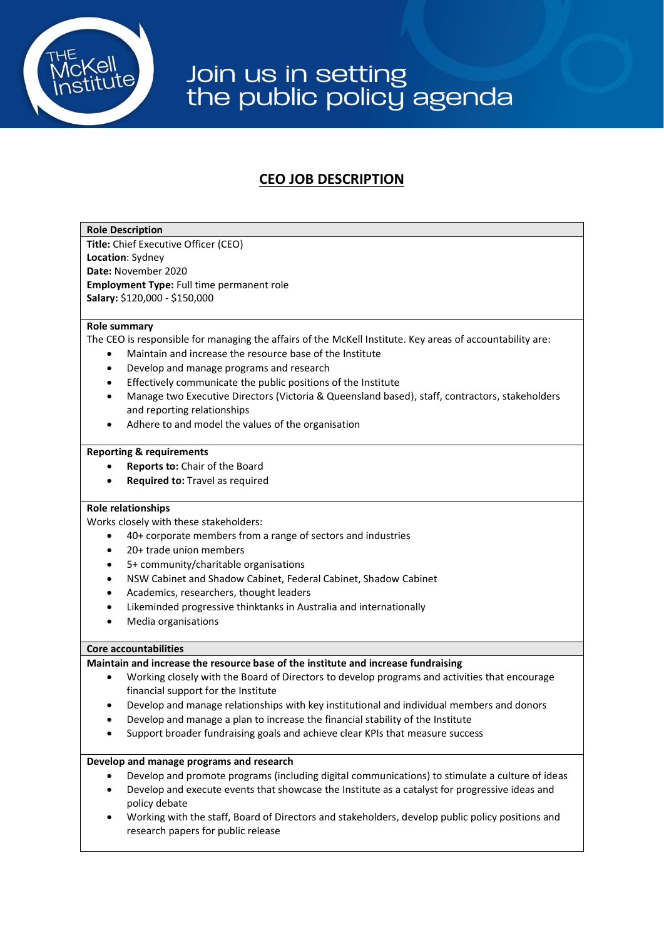

## Join us in setting<br>the public policy agenda

### **CEO JOB DESCRIPTION**

#### **Role Description**

**Title:** Chief Executive Officer (CEO) **Location**: Sydney **Date:** November 2020 **Employment Type:** Full time permanent role **Salary:** \$120,000 - \$150,000

#### **Role summary**

The CEO is responsible for managing the affairs of the McKell Institute. Key areas of accountability are:

- Maintain and increase the resource base of the Institute
- Develop and manage programs and research
- Effectively communicate the public positions of the Institute
- Manage two Executive Directors (Victoria & Queensland based), staff, contractors, stakeholders and reporting relationships
- Adhere to and model the values of the organisation

#### **Reporting & requirements**

- **Reports to:** Chair of the Board
- **Required to:** Travel as required

#### **Role relationships**

Works closely with these stakeholders:

- 40+ corporate members from a range of sectors and industries
- 20+ trade union members
- 5+ community/charitable organisations
- NSW Cabinet and Shadow Cabinet, Federal Cabinet, Shadow Cabinet
- Academics, researchers, thought leaders
- Likeminded progressive thinktanks in Australia and internationally
- Media organisations

#### **Core accountabilities**

#### **Maintain and increase the resource base of the institute and increase fundraising**

- Working closely with the Board of Directors to develop programs and activities that encourage financial support for the Institute
- Develop and manage relationships with key institutional and individual members and donors
- Develop and manage a plan to increase the financial stability of the Institute
- Support broader fundraising goals and achieve clear KPIs that measure success

#### **Develop and manage programs and research**

- Develop and promote programs (including digital communications) to stimulate a culture of ideas
- Develop and execute events that showcase the Institute as a catalyst for progressive ideas and policy debate
- Working with the staff, Board of Directors and stakeholders, develop public policy positions and research papers for public release